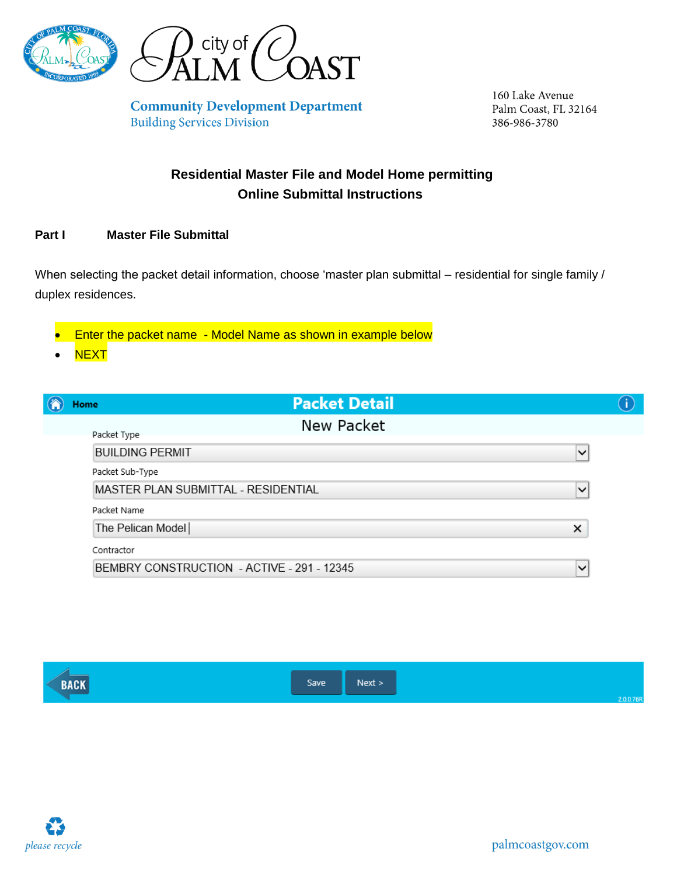



**Community Development Department Building Services Division** 

160 Lake Avenue Palm Coast, FL 32164 386-986-3780

# **Residential Master File and Model Home permitting Online Submittal Instructions**

### **Part I Master File Submittal**

When selecting the packet detail information, choose 'master plan submittal – residential for single family / duplex residences.

Enter the packet name - Model Name as shown in example below

**NEXT** 

| <b>Packet Detail</b><br>Home               |              |  |
|--------------------------------------------|--------------|--|
| New Packet<br>Packet Type                  |              |  |
| <b>BUILDING PERMIT</b>                     | $\checkmark$ |  |
| Packet Sub-Type                            |              |  |
| MASTER PLAN SUBMITTAL - RESIDENTIAL        | $\checkmark$ |  |
| Packet Name                                |              |  |
| The Pelican Model                          | ×            |  |
| Contractor                                 |              |  |
| BEMBRY CONSTRUCTION - ACTIVE - 291 - 12345 | $\checkmark$ |  |



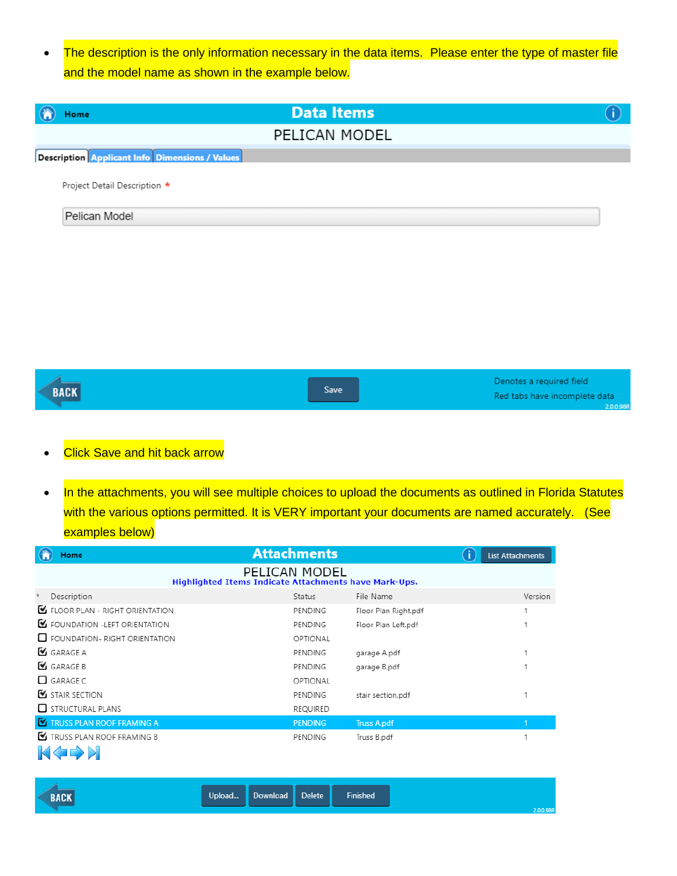• The description is the only information necessary in the data items. Please enter the type of master file and the model name as shown in the example below.

| <b>Data Items</b><br>Home                             |  |
|-------------------------------------------------------|--|
| PELICAN MODEL                                         |  |
| <b>Description Applicant Info Dimensions / Values</b> |  |
| Project Detail Description *                          |  |
| Pelican Model                                         |  |
|                                                       |  |
|                                                       |  |

| <b>BACK</b> | <b>Save</b> | Denotes a required field<br>Red tabs have incomplete data |
|-------------|-------------|-----------------------------------------------------------|
|             |             | 2.0.0.98R                                                 |

## • Click Save and hit back arrow

• In the attachments, you will see multiple choices to upload the documents as outlined in Florida Statutes with the various options permitted. It is VERY important your documents are named accurately. (See examples below)

|         | Home                                    | <b>Attachments</b>                                                     |                      | T. | <b>List Attachments</b> |
|---------|-----------------------------------------|------------------------------------------------------------------------|----------------------|----|-------------------------|
|         |                                         | PELICAN MODEL<br>Highlighted Items Indicate Attachments have Mark-Ups. |                      |    |                         |
| $\star$ | Description                             | Status                                                                 | File Name            |    | Version                 |
|         | <b>E</b> FLOOR PLAN - RIGHT ORIENTATION | PENDING                                                                | Floor Plan Right.pdf |    |                         |
|         | FOUNDATION - LEFT ORIENTATION           | PENDING                                                                | Floor Plan Left.pdf  |    |                         |
|         | $\Box$ FOUNDATION - RIGHT ORIENTATION   | OPTIONAL                                                               |                      |    |                         |
|         | GARAGE A                                | PENDING                                                                | garage A.pdf         |    |                         |
|         | GARAGE B                                | PENDING                                                                | garage B.pdf         |    |                         |
|         | $\Box$ GARAGE C                         | OPTIONAL                                                               |                      |    |                         |
|         | STAIR SECTION                           | PENDING                                                                | stair section.pdf    |    |                         |
|         | $\Box$ STRUCTURAL PLANS                 | REQUIRED                                                               |                      |    |                         |
|         | <b>K</b> TRUSS PLAN ROOF FRAMING A      | <b>PENDING</b>                                                         | <b>Truss A.pdf</b>   |    |                         |
|         | TRUSS PLAN ROOF FRAMING B               | PENDING                                                                | Truss B.pdf          |    |                         |
|         | 84 4 N N N N                            |                                                                        |                      |    |                         |



| <b>BACK</b> | Upload | Download | <b>Delete</b> | <b>Finished</b> |
|-------------|--------|----------|---------------|-----------------|
|             |        |          |               |                 |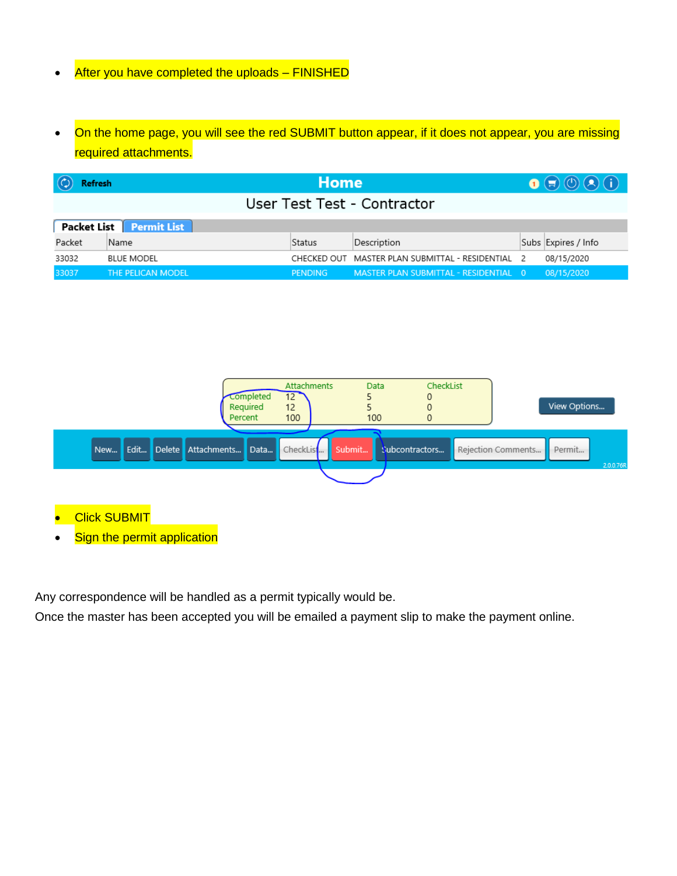## After you have completed the uploads - FINISHED

• On the home page, you will see the red SUBMIT button appear, if it does not appear, you are missing required attachments.

| <b>Refresh</b>              |                   | <b>Home</b>    |                                                   |  | $\bigcirc$          |  |  |
|-----------------------------|-------------------|----------------|---------------------------------------------------|--|---------------------|--|--|
| User Test Test - Contractor |                   |                |                                                   |  |                     |  |  |
| Packet List Permit List     |                   |                |                                                   |  |                     |  |  |
| Packet                      | Name              | Status         | Description                                       |  | Subs Expires / Info |  |  |
| 33032                       | <b>BLUE MODEL</b> |                | CHECKED OUT MASTER PLAN SUBMITTAL - RESIDENTIAL 2 |  | 08/15/2020          |  |  |
| 33037                       | THE PELICAN MODEL | <b>PENDING</b> | MASTER PLAN SUBMITTAL - RESIDENTIAL 0             |  | 08/15/2020          |  |  |



- **Click SUBMIT**
- **Sign the permit application**

Any correspondence will be handled as a permit typically would be.

Once the master has been accepted you will be emailed a payment slip to make the payment online.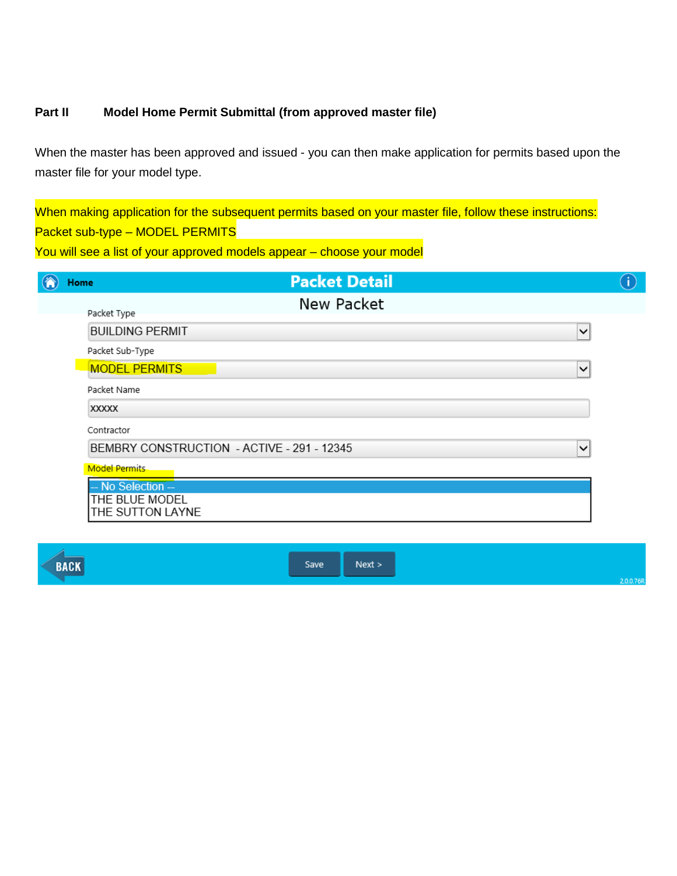### **Part II Model Home Permit Submittal (from approved master file)**

When the master has been approved and issued - you can then make application for permits based upon the master file for your model type.

When making application for the subsequent permits based on your master file, follow these instructions: Packet sub-type – MODEL PERMITS

You will see a list of your approved models appear - choose your model

| Home                                       | <b>Packet Detail</b> |              |
|--------------------------------------------|----------------------|--------------|
| Packet Type                                | New Packet           |              |
| <b>BUILDING PERMIT</b>                     |                      | $\checkmark$ |
| Packet Sub-Type                            |                      |              |
| <b>MODEL PERMITS</b>                       |                      | $\checkmark$ |
| Packet Name                                |                      |              |
| <b>XXXXX</b>                               |                      |              |
| Contractor                                 |                      |              |
| BEMBRY CONSTRUCTION - ACTIVE - 291 - 12345 |                      | $\checkmark$ |
| <b>Model Permits</b>                       |                      |              |
| -- No Selection --                         |                      |              |
| THE BLUE MODEL<br>THE SUTTON LAYNE         |                      |              |

**BACK** 

Save  $Next >$